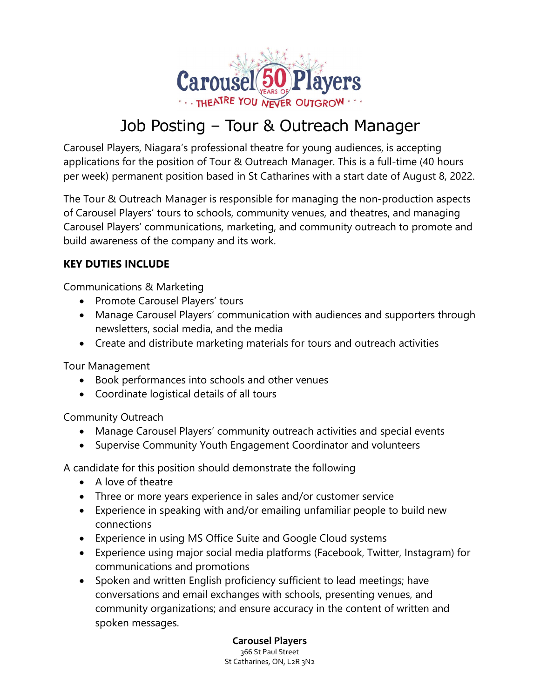

## Job Posting – Tour & Outreach Manager

Carousel Players, Niagara's professional theatre for young audiences, is accepting applications for the position of Tour & Outreach Manager. This is a full-time (40 hours per week) permanent position based in St Catharines with a start date of August 8, 2022.

The Tour & Outreach Manager is responsible for managing the non-production aspects of Carousel Players' tours to schools, community venues, and theatres, and managing Carousel Players' communications, marketing, and community outreach to promote and build awareness of the company and its work.

## KEY DUTIES INCLUDE

Communications & Marketing

- Promote Carousel Players' tours
- Manage Carousel Players' communication with audiences and supporters through newsletters, social media, and the media
- Create and distribute marketing materials for tours and outreach activities

Tour Management

- Book performances into schools and other venues
- Coordinate logistical details of all tours

Community Outreach

- Manage Carousel Players' community outreach activities and special events
- Supervise Community Youth Engagement Coordinator and volunteers

A candidate for this position should demonstrate the following

- A love of theatre
- Three or more years experience in sales and/or customer service
- Experience in speaking with and/or emailing unfamiliar people to build new connections
- Experience in using MS Office Suite and Google Cloud systems
- Experience using major social media platforms (Facebook, Twitter, Instagram) for communications and promotions
- Spoken and written English proficiency sufficient to lead meetings; have conversations and email exchanges with schools, presenting venues, and community organizations; and ensure accuracy in the content of written and spoken messages.

Carousel Players 366 St Paul Street St Catharines, ON, L2R 3N2